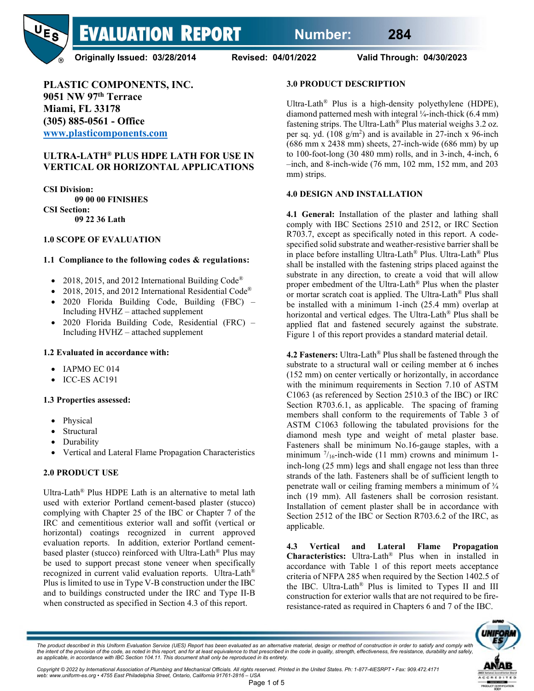

**Originally Issued: 03/28/2014 Revised: 04/01/2022 Valid Through: 04/30/2023**

**PLASTIC COMPONENTS, INC. 9051 NW 97th Terrace Miami, FL 33178 (305) 885-0561 - Office [www.plasticomponents.com](http://www.plasticomponents.com/)**

#### **ULTRA-LATH® PLUS HDPE LATH FOR USE IN VERTICAL OR HORIZONTAL APPLICATIONS**

**CSI Division: 09 00 00 FINISHES CSI Section: 09 22 36 Lath**

#### **1.0 SCOPE OF EVALUATION**

#### **1.1 Compliance to the following codes & regulations:**

- 2018, 2015, and 2012 International Building Code<sup>®</sup>
- 2018, 2015, and 2012 International Residential Code®
- 2020 Florida Building Code, Building (FBC) Including HVHZ – attached supplement
- 2020 Florida Building Code, Residential (FRC) Including HVHZ – attached supplement

#### **1.2 Evaluated in accordance with:**

- IAPMO EC 014
- ICC-ES AC191

#### **1.3 Properties assessed:**

- Physical
- **Structural**
- Durability
- Vertical and Lateral Flame Propagation Characteristics

#### **2.0 PRODUCT USE**

Ultra-Lath® Plus HDPE Lath is an alternative to metal lath used with exterior Portland cement-based plaster (stucco) complying with Chapter 25 of the IBC or Chapter 7 of the IRC and cementitious exterior wall and soffit (vertical or horizontal) coatings recognized in current approved evaluation reports. In addition, exterior Portland cementbased plaster (stucco) reinforced with Ultra-Lath® Plus may be used to support precast stone veneer when specifically recognized in current valid evaluation reports. Ultra-Lath® Plus is limited to use in Type V-B construction under the IBC and to buildings constructed under the IRC and Type II-B when constructed as specified in Section 4.3 of this report.

### **3.0 PRODUCT DESCRIPTION**

Ultra-Lath® Plus is a high-density polyethylene (HDPE), diamond patterned mesh with integral ¼-inch-thick (6.4 mm) fastening strips. The Ultra-Lath® Plus material weighs 3.2 oz. per sq. yd.  $(108 \text{ g/m}^2)$  and is available in 27-inch x 96-inch (686 mm x 2438 mm) sheets, 27-inch-wide (686 mm) by up to 100-foot-long (30 480 mm) rolls, and in 3-inch, 4-inch, 6 –inch, and 8-inch-wide (76 mm, 102 mm, 152 mm, and 203 mm) strips.

#### **4.0 DESIGN AND INSTALLATION**

**4.1 General:** Installation of the plaster and lathing shall comply with IBC Sections 2510 and 2512, or IRC Section R703.7, except as specifically noted in this report. A codespecified solid substrate and weather-resistive barrier shall be in place before installing Ultra-Lath® Plus. Ultra-Lath® Plus shall be installed with the fastening strips placed against the substrate in any direction, to create a void that will allow proper embedment of the Ultra-Lath® Plus when the plaster or mortar scratch coat is applied. The Ultra-Lath® Plus shall be installed with a minimum 1-inch (25.4 mm) overlap at horizontal and vertical edges. The Ultra-Lath® Plus shall be applied flat and fastened securely against the substrate. Figure 1 of this report provides a standard material detail.

**4.2 Fasteners:** Ultra-Lath® Plus shall be fastened through the substrate to a structural wall or ceiling member at 6 inches (152 mm) on center vertically or horizontally, in accordance with the minimum requirements in Section 7.10 of ASTM C1063 (as referenced by Section 2510.3 of the IBC) or IRC Section R703.6.1, as applicable. The spacing of framing members shall conform to the requirements of Table 3 of ASTM C1063 following the tabulated provisions for the diamond mesh type and weight of metal plaster base. Fasteners shall be minimum No.16-gauge staples, with a minimum  $\frac{7}{16}$ -inch-wide (11 mm) crowns and minimum 1inch-long (25 mm) legs and shall engage not less than three strands of the lath. Fasteners shall be of sufficient length to penetrate wall or ceiling framing members a minimum of  $\frac{3}{4}$ inch (19 mm). All fasteners shall be corrosion resistant. Installation of cement plaster shall be in accordance with Section 2512 of the IBC or Section R703.6.2 of the IRC, as applicable.

**4.3 Vertical and Lateral Flame Propagation Characteristics:** Ultra-Lath® Plus when in installed in accordance with Table 1 of this report meets acceptance criteria of NFPA 285 when required by the Section 1402.5 of the IBC. Ultra-Lath® Plus is limited to Types II and III construction for exterior walls that are not required to be fireresistance-rated as required in Chapters 6 and 7 of the IBC.



The product described in this Uniform Evaluation Service (UES) Report has been evaluated as an alternative material, design or method of construction in order to satisfy and comply with *the intent of the provision of the code, as noted in this report, and for at least equivalence to that prescribed in the code in quality, strength, effectiveness, fire resistance, durability and safely, as applicable, in accordance with IBC Section 104.11. This document shall only be reproduced in its entirety.* 

*Copyright © 2022 by International Association of Plumbing and Mechanical Officials. All rights reserved. Printed in the United States. Ph: 1-877-4IESRPT • Fax: 909.472.4171 web: www.uniform-es.org • 4755 East Philadelphia Street, Ontario, California 91761-2816 – USA*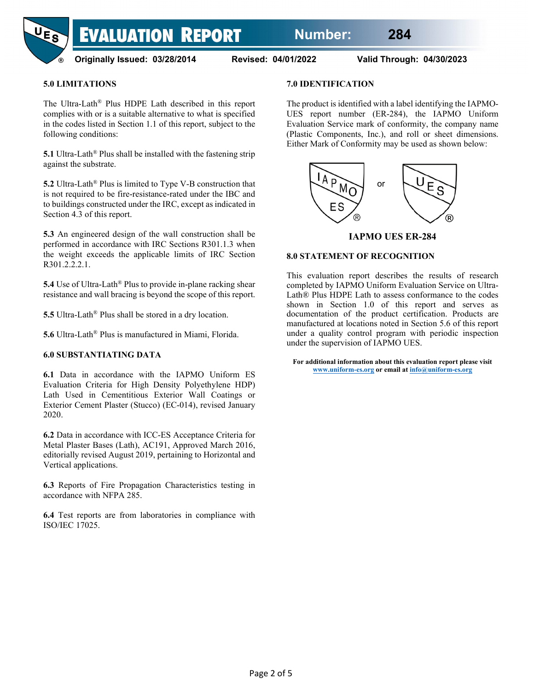

## **5.0 LIMITATIONS**

The Ultra-Lath® Plus HDPE Lath described in this report complies with or is a suitable alternative to what is specified in the codes listed in Section 1.1 of this report, subject to the following conditions:

**5.1** Ultra-Lath® Plus shall be installed with the fastening strip against the substrate.

**5.2** Ultra-Lath® Plus is limited to Type V-B construction that is not required to be fire-resistance-rated under the IBC and to buildings constructed under the IRC, except as indicated in Section 4.3 of this report.

**5.3** An engineered design of the wall construction shall be performed in accordance with IRC Sections R301.1.3 when the weight exceeds the applicable limits of IRC Section R301.2.2.2.1.

**5.4** Use of Ultra-Lath® Plus to provide in-plane racking shear resistance and wall bracing is beyond the scope of this report.

**5.5** Ultra-Lath® Plus shall be stored in a dry location.

**5.6** Ultra-Lath® Plus is manufactured in Miami, Florida.

#### **6.0 SUBSTANTIATING DATA**

**6.1** Data in accordance with the IAPMO Uniform ES Evaluation Criteria for High Density Polyethylene HDP) Lath Used in Cementitious Exterior Wall Coatings or Exterior Cement Plaster (Stucco) (EC-014), revised January 2020.

**6.2** Data in accordance with ICC-ES Acceptance Criteria for Metal Plaster Bases (Lath), AC191, Approved March 2016, editorially revised August 2019, pertaining to Horizontal and Vertical applications.

**6.3** Reports of Fire Propagation Characteristics testing in accordance with NFPA 285.

**6.4** Test reports are from laboratories in compliance with ISO/IEC 17025.

#### **7.0 IDENTIFICATION**

The product is identified with a label identifying the IAPMO-UES report number (ER-284), the IAPMO Uniform Evaluation Service mark of conformity, the company name (Plastic Components, Inc.), and roll or sheet dimensions. Either Mark of Conformity may be used as shown below:



#### **IAPMO UES ER-284**

#### **8.0 STATEMENT OF RECOGNITION**

This evaluation report describes the results of research completed by IAPMO Uniform Evaluation Service on Ultra-Lath® Plus HDPE Lath to assess conformance to the codes shown in Section 1.0 of this report and serves as documentation of the product certification. Products are manufactured at locations noted in Section 5.6 of this report under a quality control program with periodic inspection under the supervision of IAPMO UES.

**For additional information about this evaluation report please visit [www.uniform-es.org](http://www.uniform-es.org/) or email a[t info@uniform-es.org](mailto:info@uniform-es.org)**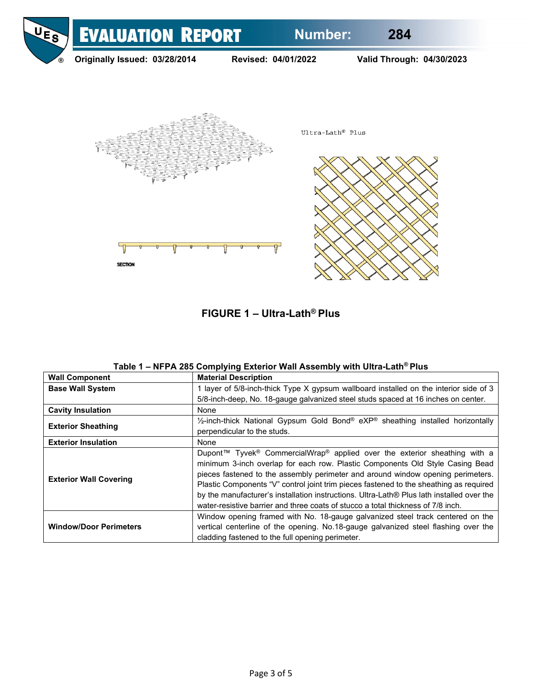

**FIGURE 1 – Ultra-Lath® Plus**

| <b>Wall Component</b>         | <b>Material Description</b>                                                                                                                                      |  |  |
|-------------------------------|------------------------------------------------------------------------------------------------------------------------------------------------------------------|--|--|
| <b>Base Wall System</b>       | 1 layer of 5/8-inch-thick Type X gypsum wallboard installed on the interior side of 3                                                                            |  |  |
|                               | 5/8-inch-deep, No. 18-gauge galvanized steel studs spaced at 16 inches on center.                                                                                |  |  |
| <b>Cavity Insulation</b>      | None                                                                                                                                                             |  |  |
| <b>Exterior Sheathing</b>     | 1/ <sub>2</sub> -inch-thick National Gypsum Gold Bond® eXP® sheathing installed horizontally                                                                     |  |  |
|                               | perpendicular to the studs.                                                                                                                                      |  |  |
| <b>Exterior Insulation</b>    | None                                                                                                                                                             |  |  |
| <b>Exterior Wall Covering</b> | Dupont™ Tyvek <sup>®</sup> CommercialWrap <sup>®</sup> applied over the exterior sheathing with a                                                                |  |  |
|                               | minimum 3-inch overlap for each row. Plastic Components Old Style Casing Bead<br>pieces fastened to the assembly perimeter and around window opening perimeters. |  |  |
|                               | Plastic Components "V" control joint trim pieces fastened to the sheathing as required                                                                           |  |  |
|                               | by the manufacturer's installation instructions. Ultra-Lath® Plus lath installed over the                                                                        |  |  |
|                               | water-resistive barrier and three coats of stucco a total thickness of 7/8 inch.                                                                                 |  |  |
|                               | Window opening framed with No. 18-gauge galvanized steel track centered on the                                                                                   |  |  |
| <b>Window/Door Perimeters</b> | vertical centerline of the opening. No.18-gauge galvanized steel flashing over the                                                                               |  |  |
|                               | cladding fastened to the full opening perimeter.                                                                                                                 |  |  |

|  |  |  | Table 1 – NFPA 285 Complying Exterior Wall Assembly with Ultra-Lath® Plus |
|--|--|--|---------------------------------------------------------------------------|
|--|--|--|---------------------------------------------------------------------------|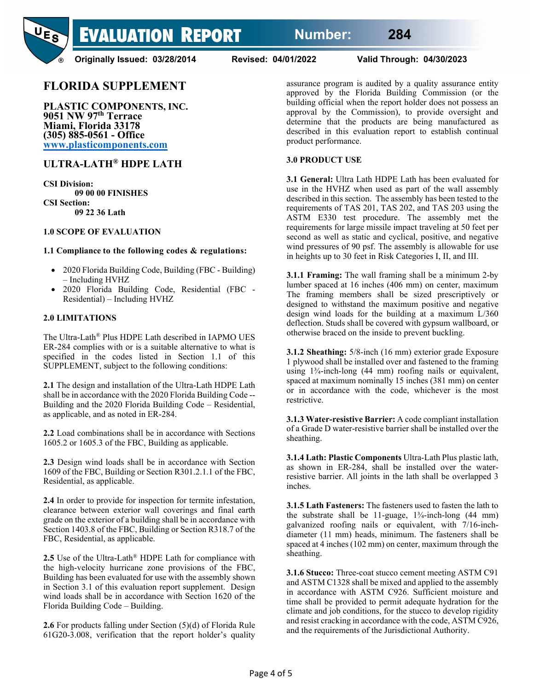

**Originally Issued: 03/28/2014 Revised: 04/01/2022 Valid Through: 04/30/2023**

# **FLORIDA SUPPLEMENT**

**PLASTIC COMPONENTS, INC. 9051 NW 97th Terrace Miami, Florida 33178 (305) 885-0561 - Office [www.plasticomponents.com](http://www.plasticomponents.com/)**

# **ULTRA-LATH® HDPE LATH**

**CSI Division: 09 00 00 FINISHES CSI Section: 09 22 36 Lath**

#### **1.0 SCOPE OF EVALUATION**

#### **1.1 Compliance to the following codes & regulations:**

- 2020 Florida Building Code, Building (FBC Building) – Including HVHZ
- 2020 Florida Building Code, Residential (FBC Residential) – Including HVHZ

#### **2.0 LIMITATIONS**

The Ultra-Lath® Plus HDPE Lath described in IAPMO UES ER-284 complies with or is a suitable alternative to what is specified in the codes listed in Section 1.1 of this SUPPLEMENT, subject to the following conditions:

**2.1** The design and installation of the Ultra-Lath HDPE Lath shall be in accordance with the 2020 Florida Building Code -- Building and the 2020 Florida Building Code – Residential, as applicable, and as noted in ER-284.

**2.2** Load combinations shall be in accordance with Sections 1605.2 or 1605.3 of the FBC, Building as applicable.

**2.3** Design wind loads shall be in accordance with Section 1609 of the FBC, Building or Section R301.2.1.1 of the FBC, Residential, as applicable.

**2.4** In order to provide for inspection for termite infestation, clearance between exterior wall coverings and final earth grade on the exterior of a building shall be in accordance with Section 1403.8 of the FBC, Building or Section R318.7 of the FBC, Residential, as applicable.

**2.5** Use of the Ultra-Lath® HDPE Lath for compliance with the high-velocity hurricane zone provisions of the FBC, Building has been evaluated for use with the assembly shown in Section 3.1 of this evaluation report supplement. Design wind loads shall be in accordance with Section 1620 of the Florida Building Code – Building.

**2.6** For products falling under Section (5)(d) of Florida Rule 61G20-3.008, verification that the report holder's quality assurance program is audited by a quality assurance entity approved by the Florida Building Commission (or the building official when the report holder does not possess an approval by the Commission), to provide oversight and determine that the products are being manufactured as described in this evaluation report to establish continual product performance.

#### **3.0 PRODUCT USE**

**3.1 General:** Ultra Lath HDPE Lath has been evaluated for use in the HVHZ when used as part of the wall assembly described in this section. The assembly has been tested to the requirements of TAS 201, TAS 202, and TAS 203 using the ASTM E330 test procedure. The assembly met the requirements for large missile impact traveling at 50 feet per second as well as static and cyclical, positive, and negative wind pressures of 90 psf. The assembly is allowable for use in heights up to 30 feet in Risk Categories I, II, and III.

**3.1.1 Framing:** The wall framing shall be a minimum 2-by lumber spaced at 16 inches (406 mm) on center, maximum The framing members shall be sized prescriptively or designed to withstand the maximum positive and negative design wind loads for the building at a maximum L/360 deflection. Studs shall be covered with gypsum wallboard, or otherwise braced on the inside to prevent buckling.

**3.1.2 Sheathing:** 5/8-inch (16 mm) exterior grade Exposure 1 plywood shall be installed over and fastened to the framing using 1¾-inch-long (44 mm) roofing nails or equivalent, spaced at maximum nominally 15 inches (381 mm) on center or in accordance with the code, whichever is the most restrictive.

**3.1.3 Water-resistive Barrier:** A code compliant installation of a Grade D water-resistive barrier shall be installed over the sheathing.

**3.1.4 Lath: Plastic Components** Ultra-Lath Plus plastic lath, as shown in ER-284, shall be installed over the waterresistive barrier. All joints in the lath shall be overlapped 3 inches.

**3.1.5 Lath Fasteners:** The fasteners used to fasten the lath to the substrate shall be 11-guage,  $1\frac{3}{4}$ -inch-long (44 mm) galvanized roofing nails or equivalent, with 7/16-inchdiameter (11 mm) heads, minimum. The fasteners shall be spaced at 4 inches (102 mm) on center, maximum through the sheathing.

**3.1.6 Stucco:** Three-coat stucco cement meeting ASTM C91 and ASTM C1328 shall be mixed and applied to the assembly in accordance with ASTM C926. Sufficient moisture and time shall be provided to permit adequate hydration for the climate and job conditions, for the stucco to develop rigidity and resist cracking in accordance with the code, ASTM C926, and the requirements of the Jurisdictional Authority.